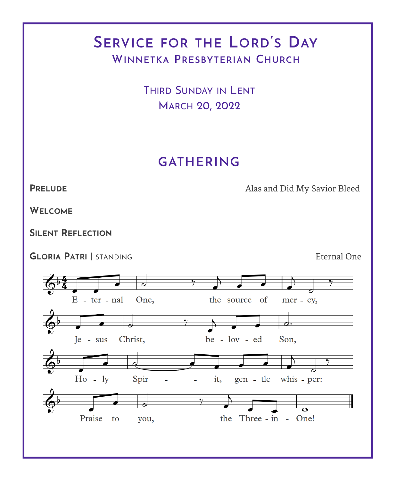# **SERVICE FOR THE LORD'S DAY WINNETKA PRESBYTERIAN CHURCH**

THIRD SUNDAY IN LENT MARCH 20, 2022

## **GATHERING**

**PRELUDE** Alas and Did My Savior Bleed

**WELCOME**

**SILENT REFLECTION**

**GLORIA PATRI** | STANDING Eternal One

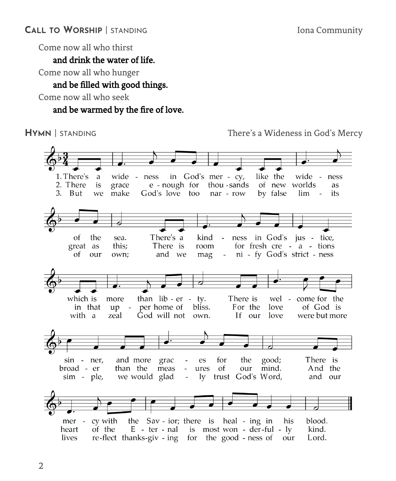Come now all who thirst

and drink the water of life.

Come now all who hunger

### and be filled with good things.

Come now all who seek

#### and be warmed by the fire of love.

**HYMN** | STANDING There's a Wideness in God's Mercy

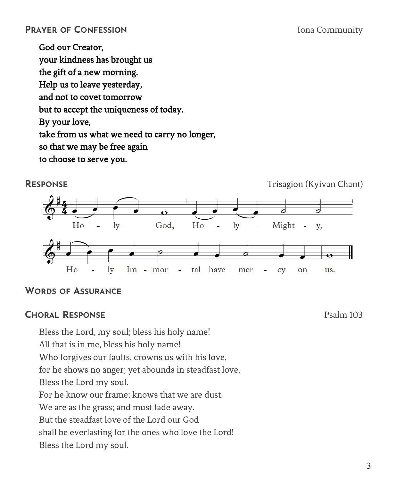#### **PRAYER OF CONFESSION** Iona Community

God our Creator, your kindness has brought us the gift of a new morning. Help us to leave yesterday, and not to covet tomorrow but to accept the uniqueness of today. By your love, take from us what we need to carry no longer, so that we may be free again to choose to serve you.

**RESPONSE** Trisagion (Kyivan Chant)



#### **WORDS OF ASSURANCE**

#### **CHORAL RESPONSE** Psalm 103

Bless the Lord, my soul; bless his holy name!

All that is in me, bless his holy name!

Who forgives our faults, crowns us with his love,

for he shows no anger; yet abounds in steadfast love.

Bless the Lord my soul.

For he know our frame; knows that we are dust.

We are as the grass; and must fade away.

But the steadfast love of the Lord our God

shall be everlasting for the ones who love the Lord!

Bless the Lord my soul.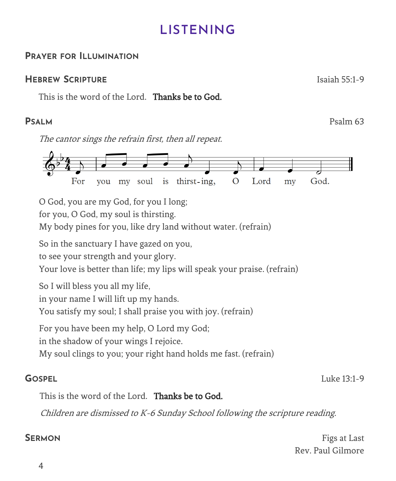# **LISTENING**

### **PRAYER FOR ILLUMINATION**

### **HEBREW SCRIPTURE** Isaiah 55:1-9

This is the word of the Lord. Thanks be to God.

The cantor sings the refrain first, then all repeat.



O God, you are my God, for you I long;

for you, O God, my soul is thirsting.

My body pines for you, like dry land without water. (refrain)

So in the sanctuary I have gazed on you,

to see your strength and your glory.

Your love is better than life; my lips will speak your praise. (refrain)

So I will bless you all my life,

in your name I will lift up my hands.

You satisfy my soul; I shall praise you with joy. (refrain)

For you have been my help, O Lord my God;

in the shadow of your wings I rejoice.

My soul clings to you; your right hand holds me fast. (refrain)

**GOSPEL** Luke 13:1-9

This is the word of the Lord. Thanks be to God.

Children are dismissed to K-6 Sunday School following the scripture reading.

**SERMON** Figs at Last Rev. Paul Gilmore

**PSALM** Psalm 63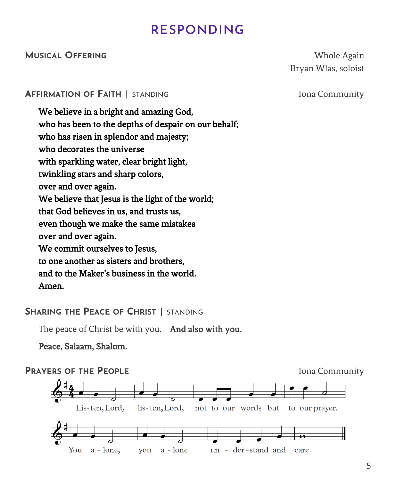# **RESPONDING**

#### **MUSICAL OFFERING** Whole Again

Bryan Wlas, soloist

#### **AFFIRMATION OF FAITH** | STANDING Iona Community

We believe in a bright and amazing God, who has been to the depths of despair on our behalf; who has risen in splendor and majesty; who decorates the universe with sparkling water, clear bright light, twinkling stars and sharp colors, over and over again. We believe that Jesus is the light of the world; that God believes in us, and trusts us, even though we make the same mistakes over and over again. We commit ourselves to Jesus, to one another as sisters and brothers, and to the Maker's business in the world. Amen.

#### **SHARING THE PEACE OF CHRIST** | STANDING

The peace of Christ be with you. And also with you.

Peace, Salaam, Shalom.

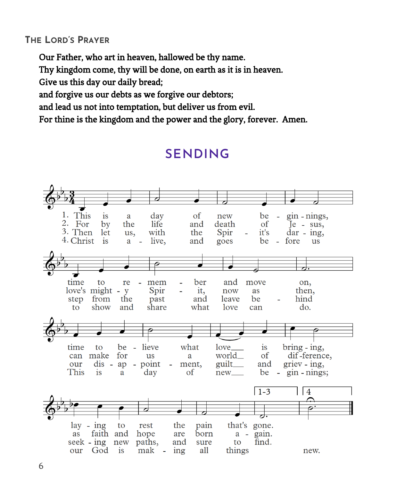### **THE LORD'S PRAYER**

Our Father, who art in heaven, hallowed be thy name.

Thy kingdom come, thy will be done, on earth as it is in heaven.

Give us this day our daily bread;

and forgive us our debts as we forgive our debtors;

and lead us not into temptation, but deliver us from evil.

For thine is the kingdom and the power and the glory, forever. Amen.



# **SENDING**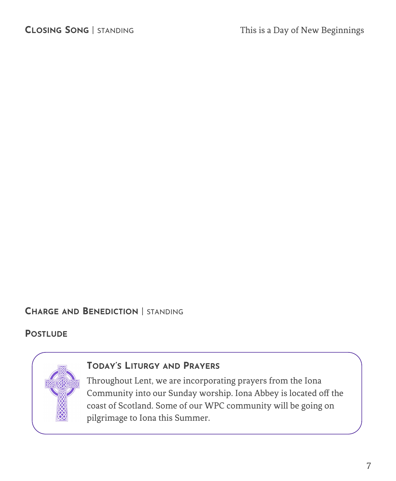#### **CHARGE AND BENEDICTION** | STANDING

#### **POSTLUDE**



#### **TODAY'S LITURGY AND PRAYERS**

Throughout Lent, we are incorporating prayers from the Iona Community into our Sunday worship. Iona Abbey is located off the coast of Scotland. Some of our WPC community will be going on pilgrimage to Iona this Summer.